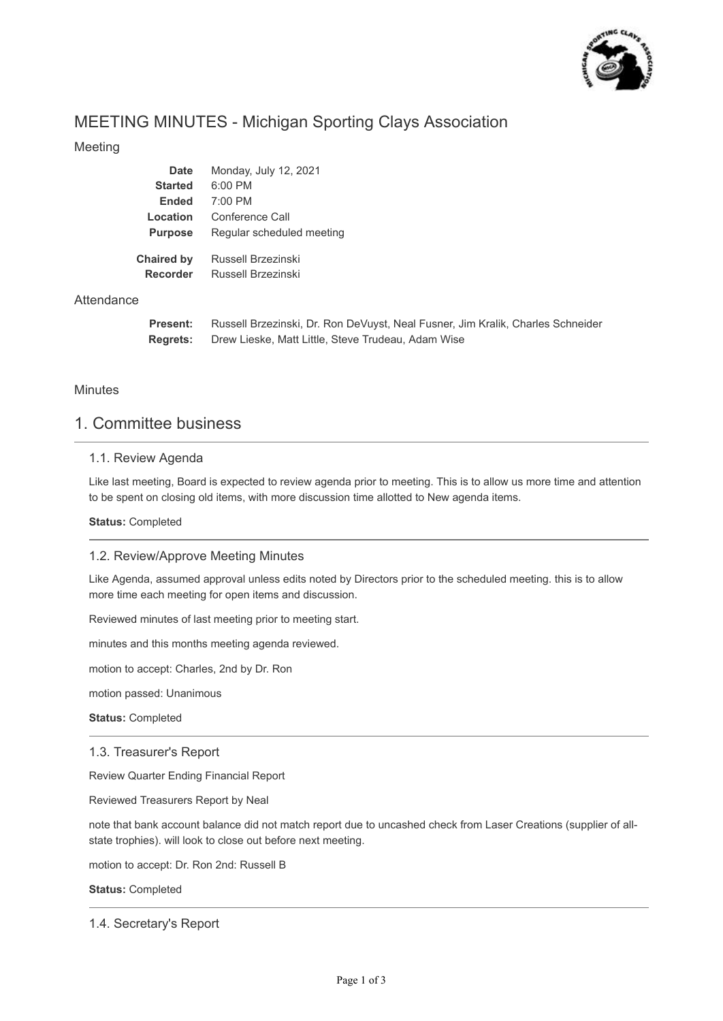

# MEETING MINUTES - Michigan Sporting Clays Association

#### Meeting

| <b>Date</b>                   | Monday, July 12, 2021                    |
|-------------------------------|------------------------------------------|
| <b>Started</b>                | $6:00$ PM                                |
| <b>Ended</b>                  | $7:00$ PM                                |
| Location                      | Conference Call                          |
| <b>Purpose</b>                | Regular scheduled meeting                |
| <b>Chaired by</b><br>Recorder | Russell Brzezinski<br>Russell Brzezinski |

#### **Attendance**

**Present: Regrets:** Russell Brzezinski, Dr. Ron DeVuyst, Neal Fusner, Jim Kralik, Charles Schneider Drew Lieske, Matt Little, Steve Trudeau, Adam Wise

#### **Minutes**

### 1. Committee business

#### 1.1. Review Agenda

Like last meeting, Board is expected to review agenda prior to meeting. This is to allow us more time and attention to be spent on closing old items, with more discussion time allotted to New agenda items.

#### **Status:** Completed

#### 1.2. Review/Approve Meeting Minutes

Like Agenda, assumed approval unless edits noted by Directors prior to the scheduled meeting. this is to allow more time each meeting for open items and discussion.

Reviewed minutes of last meeting prior to meeting start.

minutes and this months meeting agenda reviewed.

motion to accept: Charles, 2nd by Dr. Ron

motion passed: Unanimous

**Status:** Completed

#### 1.3. Treasurer's Report

Review Quarter Ending Financial Report

Reviewed Treasurers Report by Neal

note that bank account balance did not match report due to uncashed check from Laser Creations (supplier of allstate trophies). will look to close out before next meeting.

motion to accept: Dr. Ron 2nd: Russell B

**Status:** Completed

1.4. Secretary's Report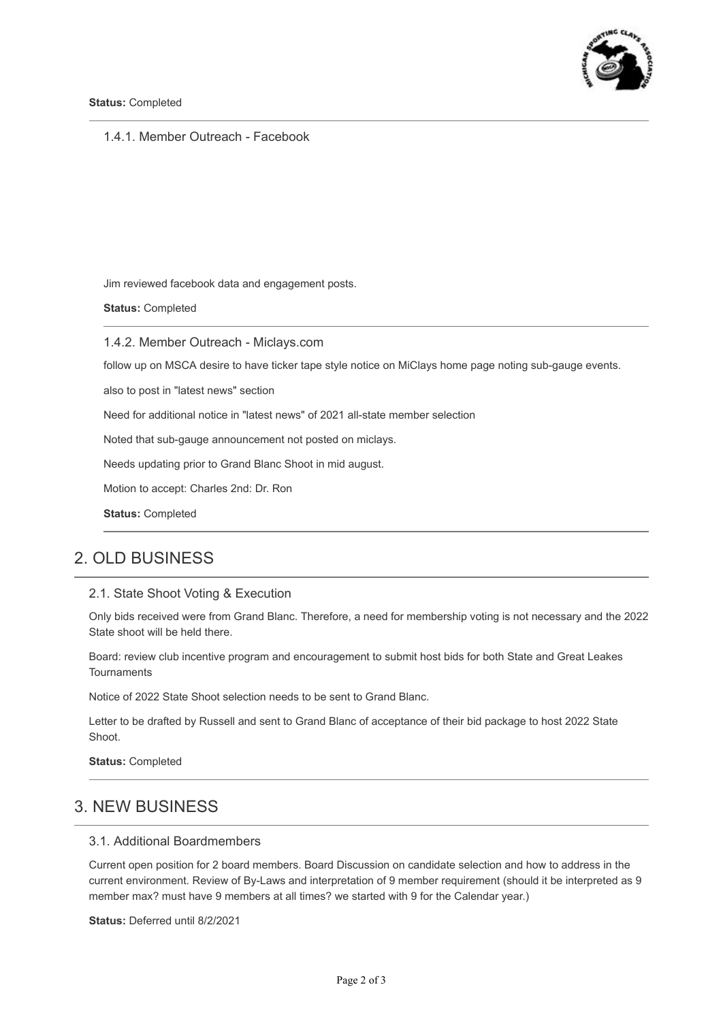

#### 1.4.1. Member Outreach - Facebook

Jim reviewed facebook data and engagement posts.

**Status:** Completed

1.4.2. Member Outreach - Miclays.com

follow up on MSCA desire to have ticker tape style notice on MiClays home page noting sub-gauge events.

also to post in "latest news" section

Need for additional notice in "latest news" of 2021 all-state member selection

Noted that sub-gauge announcement not posted on miclays.

Needs updating prior to Grand Blanc Shoot in mid august.

Motion to accept: Charles 2nd: Dr. Ron

**Status:** Completed

### 2. OLD BUSINESS

#### 2.1. State Shoot Voting & Execution

Only bids received were from Grand Blanc. Therefore, a need for membership voting is not necessary and the 2022 State shoot will be held there.

Board: review club incentive program and encouragement to submit host bids for both State and Great Leakes Tournaments

Notice of 2022 State Shoot selection needs to be sent to Grand Blanc.

Letter to be drafted by Russell and sent to Grand Blanc of acceptance of their bid package to host 2022 State Shoot.

**Status:** Completed

## 3. NEW BUSINESS

#### 3.1. Additional Boardmembers

Current open position for 2 board members. Board Discussion on candidate selection and how to address in the current environment. Review of By-Laws and interpretation of 9 member requirement (should it be interpreted as 9 member max? must have 9 members at all times? we started with 9 for the Calendar year.)

**Status:** Deferred until 8/2/2021